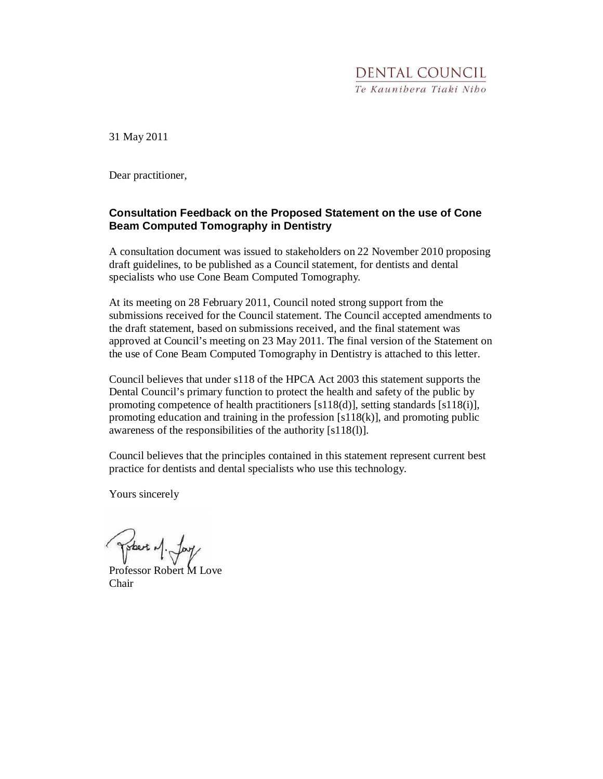## **DENTAL COUNCIL** Te Kaunibera Tiaki Nibo

31 May 2011

Dear practitioner,

#### **Consultation Feedback on the Proposed Statement on the use of Cone Beam Computed Tomography in Dentistry**

A consultation document was issued to stakeholders on 22 November 2010 proposing draft guidelines, to be published as a Council statement, for dentists and dental specialists who use Cone Beam Computed Tomography.

At its meeting on 28 February 2011, Council noted strong support from the submissions received for the Council statement. The Council accepted amendments to the draft statement, based on submissions received, and the final statement was approved at Council's meeting on 23 May 2011. The final version of the Statement on the use of Cone Beam Computed Tomography in Dentistry is attached to this letter.

Council believes that under s118 of the HPCA Act 2003 this statement supports the Dental Council's primary function to protect the health and safety of the public by promoting competence of health practitioners  $[s118(d)]$ , setting standards  $[s118(i)]$ , promoting education and training in the profession  $[s118(k)]$ , and promoting public awareness of the responsibilities of the authority [s118(l)].

Council believes that the principles contained in this statement represent current best practice for dentists and dental specialists who use this technology.

Yours sincerely

Tobert of Jay

Professor Robert M Love Chair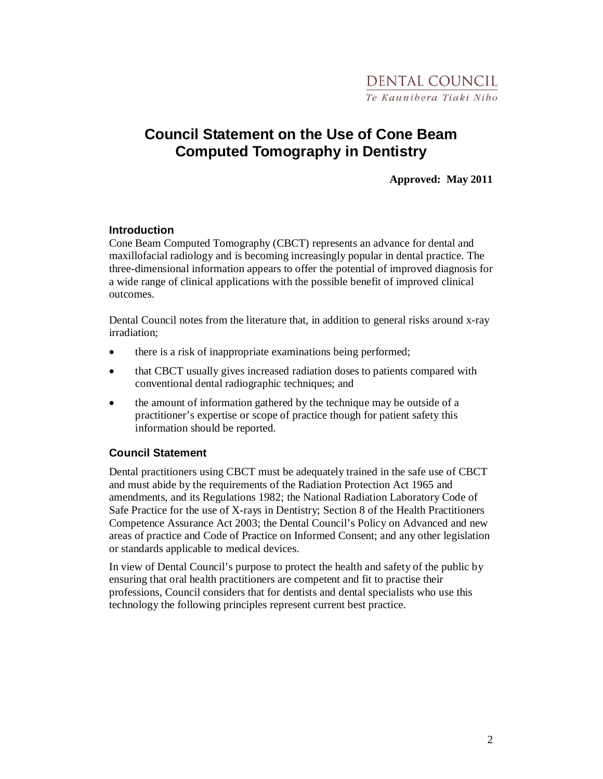# **Council Statement on the Use of Cone Beam Computed Tomography in Dentistry**

**Approved: May 2011** 

#### **Introduction**

Cone Beam Computed Tomography (CBCT) represents an advance for dental and maxillofacial radiology and is becoming increasingly popular in dental practice. The three-dimensional information appears to offer the potential of improved diagnosis for a wide range of clinical applications with the possible benefit of improved clinical outcomes.

Dental Council notes from the literature that, in addition to general risks around x-ray irradiation;

- there is a risk of inappropriate examinations being performed;
- that CBCT usually gives increased radiation doses to patients compared with conventional dental radiographic techniques; and
- the amount of information gathered by the technique may be outside of a practitioner's expertise or scope of practice though for patient safety this information should be reported.

### **Council Statement**

Dental practitioners using CBCT must be adequately trained in the safe use of CBCT and must abide by the requirements of the Radiation Protection Act 1965 and amendments, and its Regulations 1982; the National Radiation Laboratory Code of Safe Practice for the use of X-rays in Dentistry; Section 8 of the Health Practitioners Competence Assurance Act 2003; the Dental Council's Policy on Advanced and new areas of practice and Code of Practice on Informed Consent; and any other legislation or standards applicable to medical devices.

In view of Dental Council's purpose to protect the health and safety of the public by ensuring that oral health practitioners are competent and fit to practise their professions, Council considers that for dentists and dental specialists who use this technology the following principles represent current best practice.